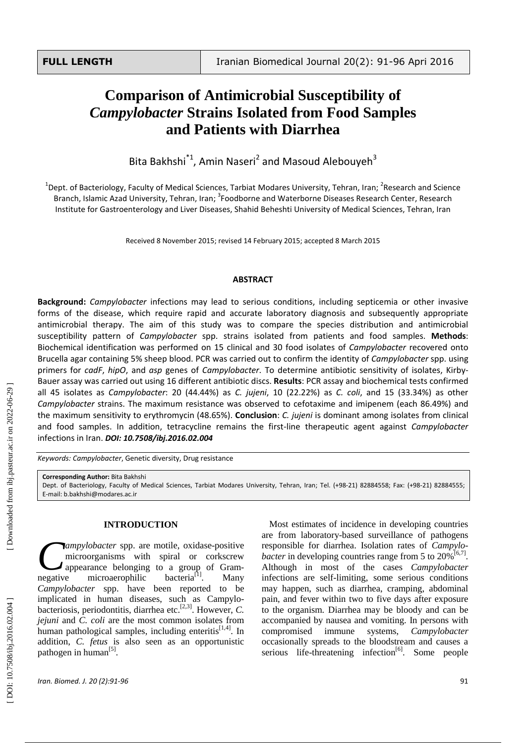# **C omparison of Antimicrobial Susceptibility of**  *Campylobacter*  **Strains Isolated from Food Samples and Patients with Diarrhea**

Bita Bakhshi<sup>\*1</sup>, Amin Naseri<sup>2</sup> and Masoud Alebouyeh<sup>3</sup>

<sup>1</sup>Dept. of Bacteriology, Faculty of Medical Sciences, Tarbiat Modares University, Tehran, Iran; <sup>2</sup>Research and Science Branch, Islamic Azad University, Tehran, Iran; <sup>3</sup>Foodborne and Waterborne Diseases Research Center, Research Institute for Gastroenterology and Liver Diseases, Shahid Beheshti University of Medical Sciences , Tehran, Iran

Received 8 November 2015; revised 14 February 2015; accepted 8 March 2015

#### **ABSTRACT**

**Background:** *Campylobacter* infections may lead to serious conditions , including septicemia or other invasive forms of the disease, which require rapid and accurate laboratory diagnosis and subsequently appropriate antimicrobial therapy. The aim of this study was to compare the species distribution and antimicrobial susceptibility pattern of *Campylobacter* spp. strains isolated from patients and food samples. Methods:<br>Biochemical identification was performed on 15 clinical and 30 food isolates of *Campylobacter* recovered onto Brucella agar containing 5% sheep blood. PCR was carried out to confirm the identity of *Campylobacter* spp. using primers for *cadF*, *hipO*, and *asp* genes of *Campylobacter*. To determine antibiotic sensitivity of isolates, Kirby - Bauer assay was carried out using 16 different antibiotic discs. **Results**: PCR assay and biochemical tests confirmed all 45 isolates as *Campylobacter* : 20 (44.44%) as *C. jujeni*, 10 (22.22%) as *C. coli*, and 15 (33.34%) as other *Campylobacter* strains. The maximum resistance was observed to cefotaxime and imipenem (each 86.49%) and the maximum sensitivity to erythromycin (48.65%). **Conclusion**: *C. jujeni* is dominant among isolates from clinical and food samples. In addition, tetracycline remains the first -line therapeutic agent against *Campylobacter* infections in Iran. *DOI: 10 .7508/ibj.2016.02.004*

*Keywords: Campylobacter*, Genetic diversity, Drug resistance

**Corresponding Author:** Bita Bakhshi

Dept. of Bacteriology, Faculty of Medical Sciences, Tarbiat Modares University, Tehran, Iran; Tel. (+98 -21) 82884558; Fax: (+98 -21) 82884555; E -mail: b.bakhshi@modares.ac.ir

# **INTRODUCTION**

*ampylobacter* spp. are motile, oxidase -positive microorganisms with spiral or corkscrew appearance belonging to a group of Gram microaerophilic bacteria<sup>[1]</sup>. Many *Campylobacter* spp. have been reported to be implicated in human diseases, such as Campylo bacteriosis, periodontitis, diarrhea etc.<sup>[2,3]</sup>. However, *C*. *jejuni* and *C. coli* are the most common isolates from human pathological samples, including enteritis $[1,4]$ . In addition, *C. fetus* is also seen as an opportunistic pathogen in human<sup>[5]</sup>. negative

Most estimates of incidence in developing countries are from laboratory -based surveillance of pathogens responsible for diarrhea. Isolation rates of *Campylo bacter* in developing countries range from 5 to  $20\%^{[6,7]}$ . Although in most of the cases *Campylobacter*  infections are self-limiting, some serious conditions may happe n , such as diarrhea, cramping, abdominal pain, and fever within two to five days after exposure to the organism. Diarrhea may be bloody and can be accompanied by nausea and vomiting. In persons with compromised immune systems, *Campylobacter* occasionally spreads to the bloodstream and causes a serious life-threatening infection<sup>[6]</sup>. Some people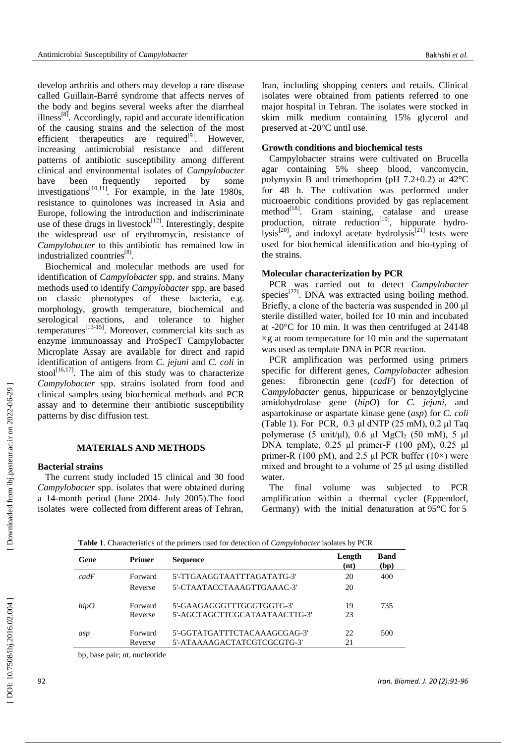develop arthritis and others may develop a rare disease called Guillain -Barré syndrome that affects nerves of the body and begins several weeks after the diarrheal illness<sup>[8]</sup>. Accordingly, rapid and accurate identification of the causing strains and the selection of the most efficient therapeutics are required<sup>[9]</sup>. However, increasing antimicrobial resistance and different patterns of antibiotic susceptibility among different clinical and environmental isolates of *Campylobacter* have been frequently reported by some investigations $^{[10,11]}$ . For example, in the late 1980s, resistance to quinolones was increased in Asia and Europe, following the introduction and indiscriminate use of these drugs in livestock $[12]$ . Interestingly, despite the widespread use of erythromycin, resistance of *Campylobacter* to this antibiotic has remained low in industrialized countries<sup>[8]</sup>.

Biochemical and molecular methods are used for identification of *Campylobacter* spp. and strains. Many methods used to identify *Campylobacter* spp. are based on classic phenotypes of these bacteria, e.g. morphology, growth temperature, biochemical and serological reactions, and tolerance to higher temperatures<sup>[13-15]</sup>. Moreover, commercial kits such as enzyme immunoassay and ProSpecT Campylobacter Microplate Assay are available for direct and rapid identification of antigens from *C. jejuni* and *C. coli* in stool $[16,17]$ . The aim of this study was to characterize Campylobacter spp. strains isolated from food and clinical samples using biochemical methods and PCR assay and to determine their antibiotic susceptibility patterns by disc diffusion test.

## **MATERIALS AND METHODS**

# **Bacterial strains**

The current study included 15 clinical and 30 food *Campylobacter* spp. isolates that were obtained during a 14 -month period (June 2004 - July 2005).The food isolates were collected from different areas of Tehran,

Iran, including shopping centers and retails. Clinical isolates were obtained from patients referred to one major hospital in Tehran. The isolates were stocked in skim milk medium containing 15% glycerol and preserved at -20°C until use.

#### **Growth conditions and biochemical tests**

Campylobacter strains were cultivated on Brucella agar containing 5% sheep blood, vancomycin, polymyxin B and trimethoprim (pH  $7.2\pm0.2$ ) at  $42^{\circ}$ C for 48 h. The cultivation was performed under microaerobic conditions provided by gas replacement method<sup>[18]</sup>. Gram staining, catalase and urease production, nitrate reduction<sup>[19]</sup>, hippurate hydrolysis<sup>[20]</sup>, and indoxyl acetate hydrolysis<sup>[21]</sup> tests were used for biochemical identification and bio -typing of the strains.

## **Molecular characterization by PCR**

PCR was carried out to detect *Campylobacter* species<sup>[22]</sup>. DNA was extracted using boiling method. Briefly, a clone of the bacteria was suspended in 200 μl sterile distilled water, boiled for 10 min and incubated at -20°C for 10 min. It was then centrifuged at 24148 × g at room temp erature for 10 min and the supernatant was used as template DNA in PCR reaction.

PCR amplification was performed using primers specific for different genes, *Campylobacter* adhesion genes: fibronectin gene (*cadF*) for detection of *Campylobacter* genus, hippuricase or benzoylglycine amidohydrolase gene (*hipO*) for *C. jejuni*, and aspartokinase or aspartate kinase gene (*asp*) for *C. coli* (Table 1). For PCR, 0.3 μl dNTP (25 mM), 0.2 μl Taq polymerase (5 unit/ $\mu$ l), 0.6  $\mu$ l MgCl<sub>2</sub> (50 mM), 5  $\mu$ l DNA template, 0.25 μl primer -F (100 pM), 0.25 μl primer-R (100 pM), and 2.5 µl PCR buffer (10 $\times$ ) were mixed and brought to a volume of 25 μl using distilled water.

The final volume was subjected to PCR amplification within a thermal cycler (Eppendorf, Germany) with the initial denaturation at  $95^{\circ}$ C for 5

| Gene | <b>Primer</b> | <b>Sequence</b>               | Length<br>(nt) | <b>Band</b><br>(bp) |
|------|---------------|-------------------------------|----------------|---------------------|
| cadF | Forward       | 5'-TTGAAGGTAATTTAGATATG-3'    | 20             | 400                 |
|      | Reverse       | 5'-CTAATACCTAAAGTTGAAAC-3'    | 20             |                     |
| hipO | Forward       | 5'-GAAGAGGGTTTGGGTGGTG-3'     | 19             | 735                 |
|      | Reverse       | 5'-AGCTAGCTTCGCATAATAACTTG-3' | 23             |                     |
| asp  | Forward       | 5'-GGTATGATTTCTACAAAGCGAG-3'  | 22.            | 500                 |
|      | Reverse       | 5'-ATAAAAGACTATCGTCGCGTG-3'   | 21             |                     |

 **Table 1**. Characteristics of the primers used for detection of *Campylobacter* isolates by PCR

bp, base pair; nt, nucleotide

[Downloaded from ibj.pasteur.ac.ir on 2022-06-29]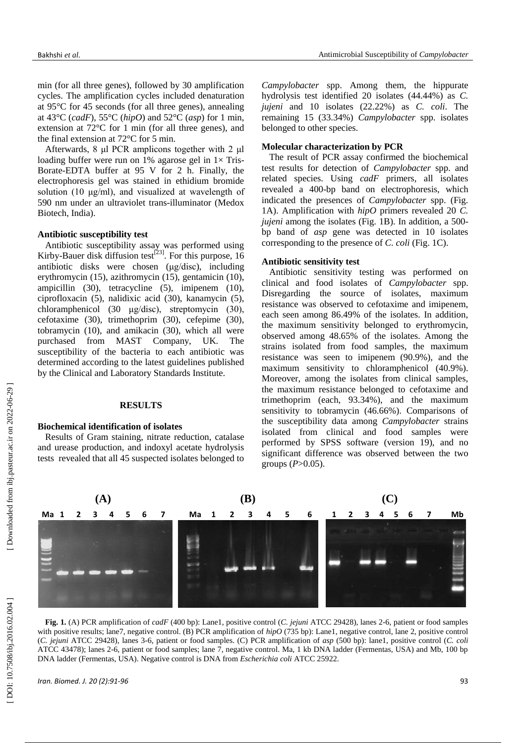min (for all three genes), followed by 30 amplification cycles. The amplification cycles included denaturation at 95°C for 45 seconds (for all three genes), annealing at 43°C (*cadF*), 55°C (*hipO*) and 52°C (*asp*) for 1 min, extension at 72°C for 1 min (for all three genes), and the final extension at 72°C for 5 min.

Afterwards, 8 μl PCR amplicons together with 2 μl loading buffer were run on 1% agarose gel in 1× Tris-Borate -EDTA buffer at 95 V for 2 h. Finally, the electrophoresis gel was stained in ethidium bromide solution (10 μg/ml), and visualized at wavelength of 590 nm under an ultraviolet trans -illuminator (Medox Biotech, India).

## **Antibiotic susceptibility test**

Antibiotic susceptibility assay was performed using Kirby-Bauer disk diffusion test<sup>[23]</sup>. For this purpose, 16 antibiotic disks were chosen (μg/disc ), including erythromycin (15), azithromycin (15), gentamicin (10), ampicillin (30), tetracycline (5), imipenem (10), ciprofloxacin (5), nalidixic acid (30), kanamycin (5), chloramphenicol (30 μg/disc), streptomycin (30), cefotaxime (30), trimethoprim (30), cefepime (30), tobramycin (10), and amikacin (30), which all were purchased from MAST Company, UK. The susceptibility of the bacteria to each antibiotic was determined according to the latest guidelines published by the Clinical and Laboratory Standards Institute.

#### **RESULTS**

# **Biochemical identification of isolates**

Results of Gram staining, nitrate reduction, catalase and urease production, and indoxyl acetate hydrolysis tests revealed that all 45 suspected isolates belonged to

*Campylobacter* spp. Among them, the hippurate hydrolysis test identified 20 isolates (44.44%) as *C. jujeni* and 10 isolates (22.22%) as *C. coli*. The remaining 15 (33.34%) *Campylobacter* spp. isolates belonged to other species.

## **Molecular characterization by PCR**

The result of PCR assay confirmed the biochemical test results for detection of *Campylobacter* spp. and related species. Using *cadF* primers, all isolates revealed a 400 -bp band on electrophoresis, which indicated the presences of *Campylobacter* spp. (Fig. 1A). Amplification with *hipO* primers revealed 20 *C.*  jujeni among the isolates (Fig. 1B). In addition, a 500bp band of *asp* gene was detected in 10 isolates corresponding to the presence of *C. coli* (Fig. 1 C).

## **Antibiotic sensitivity test**

Antibiotic sensitivity testing was performed on clinical and food isolates of *Campylobacter* spp. Disregarding the source of isolates, maximum resistance was observed to cefotaxime and imipenem, each seen among 86.49% of the isolates. In addition, the maximum sensitivity belonged to erythromycin, observed among 48.65% of the isolates. Among the strains isolated from food samples, the maximum resistance was seen to imipenem (90.9%), and the maximum sensitivity to chloramphenicol (40.9%). Moreover, among the isolates from clinical samples, the maximum resistance belonged to cefotaxime and trimethoprim (each, 93.34%), and the maximum sensitivity to tobramycin (46.66%). Comparisons of the susceptibility data among *Campylobacter* strains isolated from clinical and food samples were performed by SPSS software (version 19), and no significant difference was observed between the two groups ( *P*>0.05).



**Fig. 1.** (A) PCR amplification of *cadF* (400 bp): Lane1, positive control (*C. jejuni* ATCC 29428), lanes 2 -6, patient or food samples with positive results; lane7, negative control. (B) PCR amplification of  $hipO$  (735 bp): Lane1, negative control, lane 2, positive control (C. *jejuni* ATCC 29428), lanes 3-6, patient or food samples. (C) PCR amplification ATCC 43478); lanes 2 -6, patient or food samples; lane 7, negative control. Ma, 1 kb DNA ladder (Fermentas, USA) and Mb, 100 bp DNA ladder (Fermentas, USA). Negative control is DNA from *Escherichia coli* ATCC 25922.

DOI: 10.7508/ibj.2016.02.004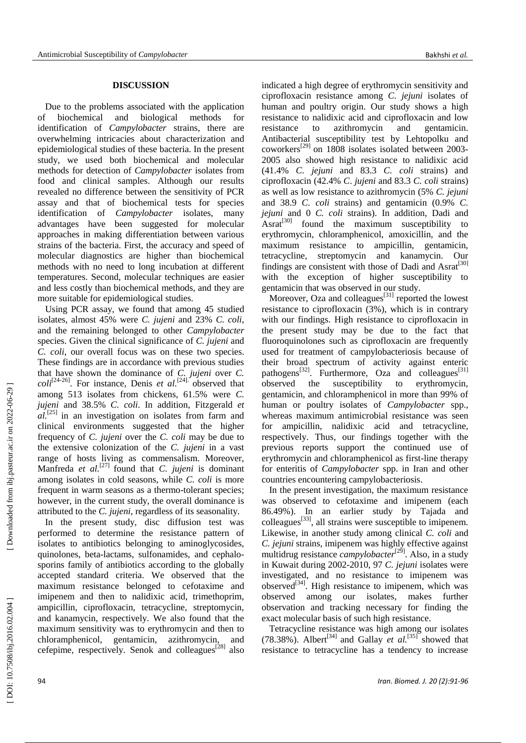# **DISCUSSION**

Due to the problems associated with the application of biochemical and biological methods for identification of *Campylobacter* strains, there are overwhelming intricacies about characterization and epidemiological studies of these bacteria. In the present study, we used both biochemical and molecular methods for detection of *Campylobacter* isolates from food and clinical samples. Although our results revealed no difference between the sensitivity of PCR assay and that of biochemical tests for species identification of *Campylobacter* isolates, many advantages have been suggested for molecular approaches in making differentiation between various strains of the bacteria. First, the accuracy and speed of molecular diagnostics are higher than biochemical methods with no need to long incubation at different temperatures. Second, molecular techniques are easier and less costly than biochemical methods, and they are more suitable for epidemiological studies.

Using PCR assay, we found that among 45 studied isolates, almost 45% were *C. jujeni* and 23% *C. coli*, and the remaining belonged to other *Campylobacter* species. Given the clinical significance of *C. jujeni* and *C. coli*, our overall focus was on these two species. These findings are in accordance with previous studies that have shown the dominance of *C. jujeni* over *C.*   $\text{col } i^{[24-26]}$ . For instance, Denis *et al.*<sup>[24]</sup>. observed that among 513 isolates from chickens, 61.5% were *C. jujeni* and 38.5% *C. coli*. In addition, Fitzgerald *et al .* [25] in an investigation on isolates from farm and clinical environments suggested that the higher frequency of *C. jujeni* over the *C. coli* may be due to the extensive colonization of the *C. jujeni* in a vast range of hosts living as commensalism. Moreover, Manfreda *et al.*[27] found that *C. jujeni* is dominant among isolates in cold seasons, while *C. coli* is more frequent in warm seasons as a thermo -tolerant species; however, in the current study, the overall dominance is attributed to the *C. jujeni*, regardless of its seasonality.

In the present study, disc diffusion test was performed to determine the resistance pattern of isolates to antibiotics belonging to aminoglycosides, quinolones, beta -lactams, sulfonamides, and cephalo sporins family of antibiotics according to the globally accepted standard criteria. We observed that the maximum resistance belonged to cefotaxime and imipenem and then to nalidixic acid, trimethoprim, ampicillin, ciprofloxacin, tetracycline, streptomycin, and kanamycin, respectively. We also found that the maximum sensitivity was to erythromycin and then to chloramphenicol, gentamicin, azithromycin, and cefepime, respectively. Senok and colleagues<sup>[28]</sup> also indicated a high degree of erythromycin sensitivity and ciprofloxacin resistance among *C. jejuni* isolates of human and poultry origin. Our study shows a high resistance to nalidixic acid and ciprofloxacin and low resistance to azithromycin and gentamicin. Antibacterial susceptibility test by Lehtopolku and coworkers<sup>[29]</sup> on 1808 isolates isolated between 2003-2005 also showed high resistance to nalidixic acid  $(41.4\% C.$  *jeiuni* and 83.3 *C. coli* strains) and (41.4% *C. jejuni* and 83.3 *C. coli* strains) and ciprofloxacin (42.4% *C*. *jujeni* and 83.3 *C. coli* strains) as well as low resistance to azithromycin (5% *C. jejuni* and 38.9 *C. coli* strains) and gentamicin (0.9% *C. jejuni* and 0 *C. coli* strains). In addition, Dadi and  $\text{Asrat}^{[30]}$  found the maximum susceptibility to erythromycin, chloramphenicol, amoxicillin, and the maximum resistance to ampicillin, gentamicin, tetracycline, streptomycin and kanamycin. Our findings are consistent with those of Dadi and  $\text{Asra}^{[30]}$ with the exception of higher susceptibility to gentamicin that was observed in our study.

Moreover, Oza and colleagues $^{[31]}$  reported the lowest resistance to ciprofloxacin (3%), which is in contrary with our findings. High resistance to ciprofloxacin in the present study may be due to the fact that fluoroquinolones such as ciprofloxacin are frequently used for treatment of campylobacteriosis because of their broad spectrum of activity against enteric pathogens<sup>[32]</sup>. Furthermore, Oza and colleagues<sup>[31]</sup> observed the susceptibility to erythromycin, gentamicin, and chloramphenicol in more than 99% of human or poultry isolates of *Campylobacter* spp., whereas maximum antimicrobial resistance was seen for ampicillin, nalidixic acid and tetracycline, respectively. Thus, our findings together with the previous reports support the continued use of erythromycin and chloramphenicol as first -line therapy for enteritis of *Campylobacter* spp. in Iran and other countries encountering campylobacteriosis.

In the present investigation, the maximum resistance was observed to cefotaxime and imipenem (each 86.49%). In an earlier study by Tajada and  $\text{colleagues}^{[33]}$ , all strains were susceptible to imipenem. Likewise, in another study among clinical *C. coli* and *C. jejuni* strains, imipenem was highly effective against multidrug resistance *campylobacter*<sup>[29]</sup>. Also, in a study in Kuwait during 2002 -2010, 97 *C. jejuni* isolates were investigated, and no resistance to imipenem was observed $^{[34]}$ . High resistance to imipenem, which was observed among our isolates, makes further observation and tracking necessary for finding the exact molecular basis of such high resistance.

Tetracycline resistance was high among our isolates (78.38%). Albert<sup>[34]</sup> and Gallay *et al.*<sup>[35]</sup> showed that resistance to tetracycline has a tendency to increase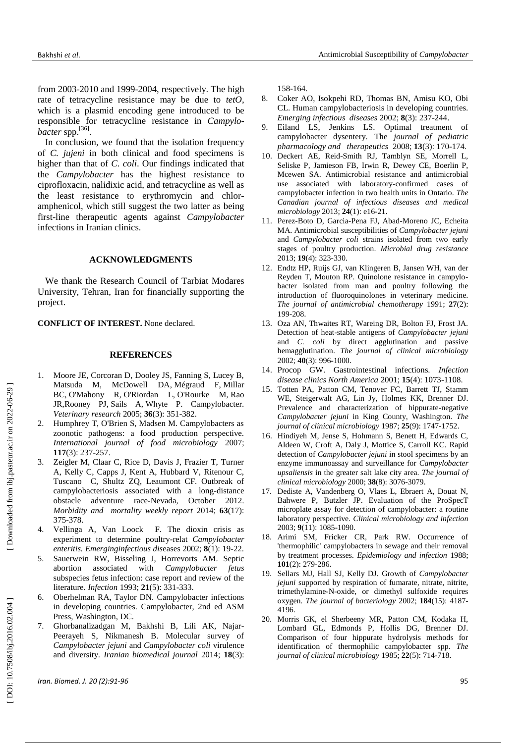from 2003 -2010 and 1999 -2004, respectively. The high rate of tetracycline resistance may be due to *tetO*, which is a plasmid encoding gene introduced to be responsible for tetracycline resistance in *Campylo*  bacter spp.<sup>[36]</sup>.

In conclusion, we found that the isolation frequency of *C. jujeni* in both clinical and food specimens is higher than that of *C. coli*. Our findings indicated that the *Campylobacter* has the highest resistance to ciprofloxacin, nalidixic acid, and tetracycline as well as the least resistance to erythromycin and chlor amphenicol, which still suggest the two latter as being first -line therapeutic agents against *Campylobacter* infections in Iranian clinics.

#### **ACKNOWLEDGMENTS**

We thank the Research Council of Tarbiat Modares University, Tehran, Iran for financially supporting the project.

**CONFLICT OF INTEREST.** None declared.

#### **REFERENCES**

- 1 . Moore JE, Corcoran D, Dooley JS, Fanning S, Lucey B, Matsuda M, [McDowell DA](http://www.ncbi.nlm.nih.gov/pubmed/?term=McDowell%20DA%5BAuthor%5D&cauthor=true&cauthor_uid=15845230) , [Mégraud F](http://www.ncbi.nlm.nih.gov/pubmed/?term=M%C3%A9graud%20F%5BAuthor%5D&cauthor=true&cauthor_uid=15845230) , [Millar](http://www.ncbi.nlm.nih.gov/pubmed/?term=Millar%20BC%5BAuthor%5D&cauthor=true&cauthor_uid=15845230)  [BC](http://www.ncbi.nlm.nih.gov/pubmed/?term=Millar%20BC%5BAuthor%5D&cauthor=true&cauthor_uid=15845230) , [O'Mahony R](http://www.ncbi.nlm.nih.gov/pubmed/?term=O%27Mahony%20R%5BAuthor%5D&cauthor=true&cauthor_uid=15845230) , [O'Riordan L](http://www.ncbi.nlm.nih.gov/pubmed/?term=O%27Riordan%20L%5BAuthor%5D&cauthor=true&cauthor_uid=15845230) , [O'Rourke M](http://www.ncbi.nlm.nih.gov/pubmed/?term=O%27Rourke%20M%5BAuthor%5D&cauthor=true&cauthor_uid=15845230) , [Rao](http://www.ncbi.nlm.nih.gov/pubmed/?term=Rao%20JR%5BAuthor%5D&cauthor=true&cauthor_uid=15845230)  [JR](http://www.ncbi.nlm.nih.gov/pubmed/?term=Rao%20JR%5BAuthor%5D&cauthor=true&cauthor_uid=15845230) [,Rooney PJ](http://www.ncbi.nlm.nih.gov/pubmed/?term=Rooney%20PJ%5BAuthor%5D&cauthor=true&cauthor_uid=15845230) , [Sails A](http://www.ncbi.nlm.nih.gov/pubmed/?term=Sails%20A%5BAuthor%5D&cauthor=true&cauthor_uid=15845230) , [Whyte P](http://www.ncbi.nlm.nih.gov/pubmed/?term=Whyte%20P%5BAuthor%5D&cauthor=true&cauthor_uid=15845230) . Campylobacter. *Veterinary research* 2005; **36**(3): 351 - 382.
- 2 . Humphrey T, O'Brien S, Madsen M. Campylobacters as zoonotic pathogens: a food production perspective. *International journal of food microbiology* 2007; **117**(3): 237 -257 .
- 3 . Zeigler M, Claar C, Rice D, Davis J, Frazier T, Turner A, Kelly C, Capps J, Kent A, Hubbard V, Ritenour C, Tuscano C, Shultz ZQ, Leaumont CF. Outbreak of campylobacteriosis associated with a long -distance obstacle adventure race -Nevada, October 2012. *Morbidity and mortality weekly report* 2014; **63**(17): 375 -378 .
- 4 . Vellinga A, Van Loock F. The dioxin crisis as experiment to determine poultry-relat Campylobacter *enteritis. Emerginginfectious dis*eases 2002; **8**(1): 19 -22 .
- 5 . Sauerwein RW, Bisseling J, Horrevorts AM. Septic abortion associated with *Campylobacter fetus* subspecies fetus infection: case report and review of the literature. *Infection* 1993; **21**(5): 331 -333 .
- 6 . Oberhelman RA, Taylor DN. Campylobacter infections in developing countries. Campylobacter, 2nd ed ASM Press, Washington, DC.
- 7 . Ghorbanalizadgan M, Bakhshi B, Lili AK, Najar - Peerayeh S, Nikmanesh B. Molecular survey of *Campylobacter jejuni* and *Campylobacter coli* virulence and diversity. *Iranian biomedical journal* 2014; **18**(3):

158 -164 .

- 8. . Coker AO, Isokpehi RD, Thomas BN, Amisu KO, Obi CL. Human campylobacteriosis in developing countries. *Emerging infectious diseases* 2002; **8**(3): 237 -244 .
- $9<sub>1</sub>$ . Eiland LS, Jenkins LS. Optimal treatment of campylobacter dysentery. The *journal of pediatric pharmacology and therapeutics* 2008; **13**(3): 170 -174 .
- 10 . Deckert AE, Reid -Smith RJ, Tamblyn SE, Morrell L, Seliske P, Jamieson FB, Irwin R, Dewey CE, Boerlin P, Mcewen SA. Antimicrobial resistance and antimicrobial use associated with laboratory -confirmed cases of campylobacter infection in two health units in Ontario. *The Canadian journal of infectious diseases and medical microbiology* 2013; **24**(1): e16 -21 .
- 11 . Perez -Boto D, Garcia -Pena FJ, Abad -Moreno JC, Echeita MA. Antimicrobial susceptibilities of *Campylobacter jejuni*  and *Campylobacter coli* strains isolated from two early stages of poultry production. *Microbial drug resistance* 2013; **19**(4): 323 - 330 .
- 12 . Endtz HP, Ruijs GJ, van Klingeren B, Jansen WH, van der Reyden T, Mouton RP. Quinolone resistance in campylo bacter isolated from man and poultry following the introduction of fluoroquinolones in veterinary medicine. *The journal of antimicrobial chemotherapy* 1991; **27**(2): 199 -208 .
- 13 . Oza AN, Thwaites RT, Wareing DR, Bolton FJ, Frost JA. Detection of heat -stable antigens of *Campylobacter jejuni* and *C. coli* by direct agglutination and passive hemagglutination. *The journal of clinical microbiology* 2002; **40**(3): 996 -1000 .
- 14 . Procop GW. Gastrointestinal infections. *Infection disease clinics North America* 2001; **15**(4): 1073 - 1 108.
- 15 . Totten PA, Patton CM, Tenover FC, Barrett TJ, Stamm WE, Steigerwalt AG, Lin Jy, Holmes KK, Brenner DJ. Prevalence and characterization of hippurate-negative *Campylobacter jejuni* in King County, Washington. *The journal of clinical microbiology* 1987; **25**(9): 1747 -1752 .
- 16 . Hindiyeh M, Jense S, Hohmann S, Benett H, Edwards C, Aldeen W, Croft A, Daly J, Mottice S, Carroll KC. Rapid detection of *Campylobacter jejuni* in stool specimens by an enzyme immunoassay and surveillance for *Campylobacter upsaliensis* in the greater salt lake city area. *The journal of clinical microbiology* 2000; **38**(8): 3076 -307 9 .
- 17 . Dediste A, Vandenberg O, Vlaes L, Ebraert A, Douat N, Bahwere P, Butzler J P. Evaluation of the ProSpecT microplate assay for detection of campylobacter: a routine laboratory perspective. *Clinical microbiology and infection* 2003; **9**(11): 1085 -1090 .
- 18 . Arimi SM, Fricker CR, Park RW. Occurrence of 'thermophilic' campylobacters in sewage and their removal by treatment processes. *Epidemiology and infection* 1988; **101**(2): 279 - 286 .
- 19 . Sellars MJ, Hall SJ, Kelly DJ. Growth of *Campylobacter jejuni* supported by respiration of fumarate, nitrate, nitrite, trimethylamine - N -oxide, or dimethyl sulfoxide requires oxygen. *The journal of bacteriology* 2002; **184**(15): 4187 - 4196 .
- 20 . Morris GK, el Sherbeeny MR, Patton CM, Kodaka H, Lombard GL, Edmonds P, Hollis DG, Brenner DJ. Comparison of four hippurate hydrolysis methods for identification of thermophilic campylobacter spp. *The journal of clinical microbiology* 1985; **22**(5): 714 -71 8 .